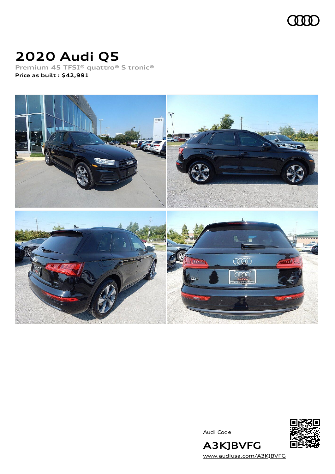

# **2020 Audi Q5**

**Premium 45 TFSI® quattro® S tronic® Price as built [:](#page-8-0) \$42,991**



Audi Code



[www.audiusa.com/A3KJBVFG](https://www.audiusa.com/A3KJBVFG)

**A3KJBVFG**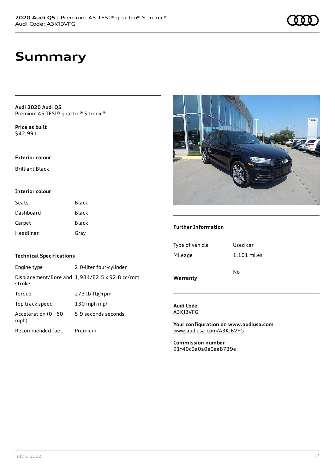## **Summary**

**Audi 2020 Audi Q5** Premium 45 TFSI® quattro® S tronic®

**Price as buil[t](#page-8-0)** \$42,991

#### **Exterior colour**

Brilliant Black

### **Interior colour**

| Seats     | Black        |
|-----------|--------------|
| Dashboard | Black        |
| Carpet    | <b>Black</b> |
| Headliner | Gray         |

### **Technical Specifications**

| Engine type                  | 2.0-liter four-cylinder                              |
|------------------------------|------------------------------------------------------|
| stroke                       | Displacement/Bore and $1,984/82.5 \times 92.8$ cc/mm |
| Torque                       | 273 lb-ft@rpm                                        |
| Top track speed              | 130 mph mph                                          |
| Acceleration (0 - 60<br>mph) | 5.9 seconds seconds                                  |
| Recommended fuel             | Premium                                              |



### **Further Information**

| Warranty        | No          |
|-----------------|-------------|
| Mileage         | 1,101 miles |
| Type of vehicle | Used car    |
|                 |             |

### **Audi Code** A3KJBVFG

**Your configuration on www.audiusa.com** [www.audiusa.com/A3KJBVFG](https://www.audiusa.com/A3KJBVFG)

**Commission number** 91f40c9a0a0e0ae8739e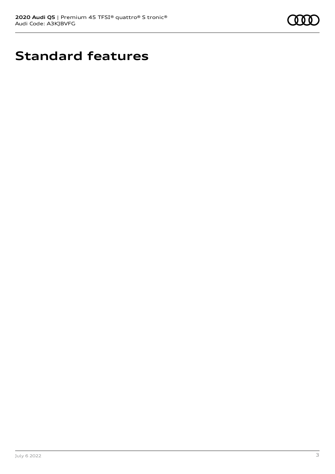

# **Standard features**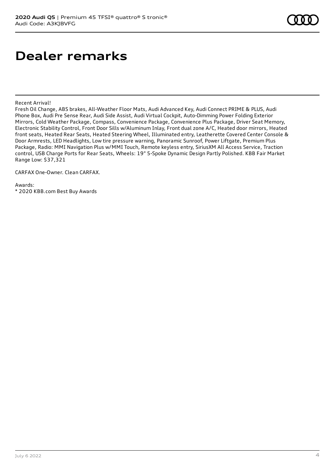## **Dealer remarks**

Recent Arrival!

Fresh Oil Change, ABS brakes, All-Weather Floor Mats, Audi Advanced Key, Audi Connect PRIME & PLUS, Audi Phone Box, Audi Pre Sense Rear, Audi Side Assist, Audi Virtual Cockpit, Auto-Dimming Power Folding Exterior Mirrors, Cold Weather Package, Compass, Convenience Package, Convenience Plus Package, Driver Seat Memory, Electronic Stability Control, Front Door Sills w/Aluminum Inlay, Front dual zone A/C, Heated door mirrors, Heated front seats, Heated Rear Seats, Heated Steering Wheel, Illuminated entry, Leatherette Covered Center Console & Door Armrests, LED Headlights, Low tire pressure warning, Panoramic Sunroof, Power Liftgate, Premium Plus Package, Radio: MMI Navigation Plus w/MMI Touch, Remote keyless entry, SiriusXM All Access Service, Traction control, USB Charge Ports for Rear Seats, Wheels: 19" 5-Spoke Dynamic Design Partly Polished. KBB Fair Market Range Low: \$37,321

CARFAX One-Owner. Clean CARFAX.

Awards: \* 2020 KBB.com Best Buy Awards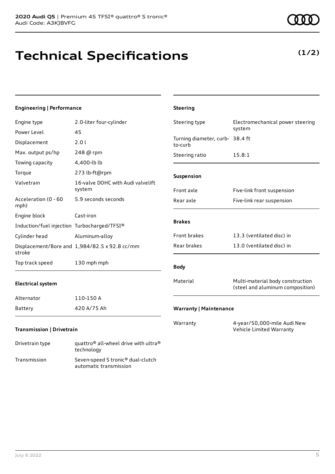Drivetrain type quattro® all-wheel drive with ultra® technology Transmission Seven-speed S tronic® dual-clutch

automatic transmission

# **Technical Specifications**

### **Engineering | Performance**

| Engine type                                 | 2.0-liter four-cylinder                       | Steering type                              | Electromechanical power steering                                     |
|---------------------------------------------|-----------------------------------------------|--------------------------------------------|----------------------------------------------------------------------|
| Power Level                                 | 45                                            |                                            | system                                                               |
| Displacement                                | 2.01                                          | Turning diameter, curb- 38.4 ft<br>to-curb |                                                                      |
| Max. output ps/hp                           | 248 @ rpm                                     | Steering ratio                             | 15.8:1                                                               |
| Towing capacity                             | 4,400-lb lb                                   |                                            |                                                                      |
| Torque                                      | 273 lb-ft@rpm                                 | Suspension                                 |                                                                      |
| Valvetrain                                  | 16-valve DOHC with Audi valvelift<br>system   | Front axle                                 | Five-link front suspension                                           |
| Acceleration (0 - 60<br>mph)                | 5.9 seconds seconds                           | Rear axle                                  | Five-link rear suspension                                            |
| Engine block                                | Cast-iron                                     |                                            |                                                                      |
| Induction/fuel injection Turbocharged/TFSI® |                                               | <b>Brakes</b>                              |                                                                      |
| Cylinder head                               | Aluminum-alloy                                | Front brakes                               | 13.3 (ventilated disc) in                                            |
| stroke                                      | Displacement/Bore and 1,984/82.5 x 92.8 cc/mm | Rear brakes                                | 13.0 (ventilated disc) in                                            |
| Top track speed                             | 130 mph mph                                   | <b>Body</b>                                |                                                                      |
| <b>Electrical system</b>                    |                                               | Material                                   | Multi-material body construction<br>(steel and aluminum composition) |
| Alternator                                  | 110-150 A                                     |                                            |                                                                      |
| Battery                                     | 420 A/75 Ah                                   | <b>Warranty   Maintenance</b>              |                                                                      |
| Transmission   Drivetrain                   |                                               | Warranty                                   | 4-year/50,000-mile Audi New<br>Vehicle Limited Warranty              |

**Steering**



### **(1/2)**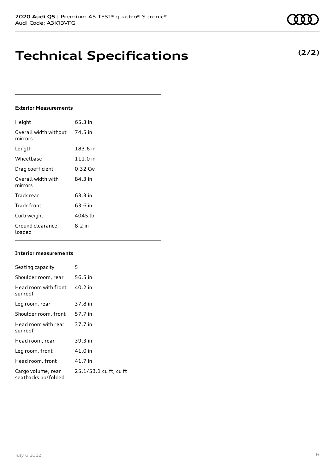## **Technical Specifications**

### **Exterior Measurements**

| Height                           | 65.3 in    |
|----------------------------------|------------|
| Overall width without<br>mirrors | 74.5 in    |
| Length                           | 183.6 in   |
| Wheelbase                        | $111.0$ in |
| Drag coefficient                 | 0.32 Cw    |
| Overall width with<br>mirrors    | 84 3 in    |
| Track rear                       | 63.3 in    |
| Track front                      | 63.6 in    |
| Curb weight                      | 4045 lb    |
| Ground clearance,<br>loaded      | $8.2$ in   |

### **Interior measurements**

| Seating capacity                          | 5                      |
|-------------------------------------------|------------------------|
| Shoulder room, rear                       | 56.5 in                |
| Head room with front<br>sunroof           | 40.2 in                |
| Leg room, rear                            | 37.8 in                |
| Shoulder room, front                      | 57.7 in                |
| Head room with rear<br>sunroof            | 37.7 in                |
| Head room, rear                           | 39.3 in                |
| Leg room, front                           | 41.0 in                |
| Head room, front                          | 41.7 in                |
| Cargo volume, rear<br>seatbacks up/folded | 25.1/53.1 cu ft, cu ft |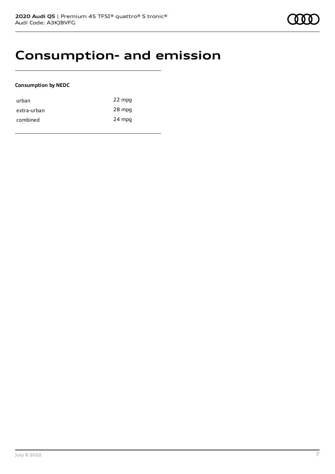## **Consumption- and emission**

### **Consumption by NEDC**

| urban       | 22 mpg |
|-------------|--------|
| extra-urban | 28 mpg |
| combined    | 24 mpg |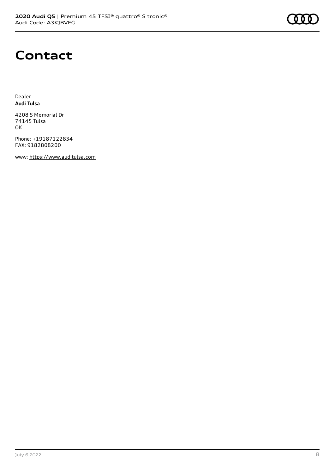## **Contact**

Dealer **Audi Tulsa**

4208 S Memorial Dr 74145 Tulsa OK

Phone: +19187122834 FAX: 9182808200

www: [https://www.auditulsa.com](https://www.auditulsa.com/)